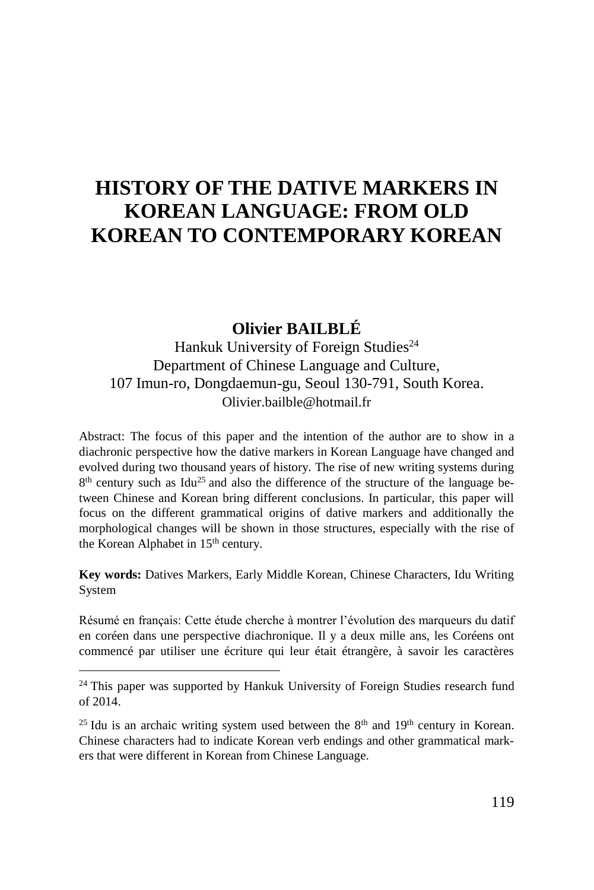# **HISTORY OF THE DATIVE MARKERS IN KOREAN LANGUAGE: FROM OLD KOREAN TO CONTEMPORARY KOREAN**

### **Olivier BAILBLÉ**

Hankuk University of Foreign Studies<sup>24</sup> Department of Chinese Language and Culture, 107 Imun-ro, Dongdaemun-gu, Seoul 130-791, South Korea. Olivier.bailble@hotmail.fr

Abstract: The focus of this paper and the intention of the author are to show in a diachronic perspective how the dative markers in Korean Language have changed and evolved during two thousand years of history. The rise of new writing systems during 8<sup>th</sup> century such as [Idu](http://en.wikipedia.org/wiki/Idu_script)<sup>25</sup> and also the difference of the structure of the language between Chinese and Korean bring different conclusions. In particular, this paper will focus on the different grammatical origins of dative markers and additionally the morphological changes will be shown in those structures, especially with the rise of the Korean Alphabet in 15<sup>th</sup> century.

**Key words:** Datives Markers, Early Middle Korean, Chinese Characters, Idu Writing System

Résumé en français: Cette étude cherche à montrer l'évolution des marqueurs du datif en coréen dans une perspective diachronique. Il y a deux mille ans, les Coréens ont commencé par utiliser une écriture qui leur était étrangère, à savoir les caractères

 $24$  This paper was supported by Hankuk University of Foreign Studies research fund of 2014.

<sup>&</sup>lt;sup>25</sup> Idu is an archaic writing system used between the  $8<sup>th</sup>$  and  $19<sup>th</sup>$  century in Korean. Chinese characters had to indicate Korean verb endings and other grammatical markers that were different in Korean from Chinese Language.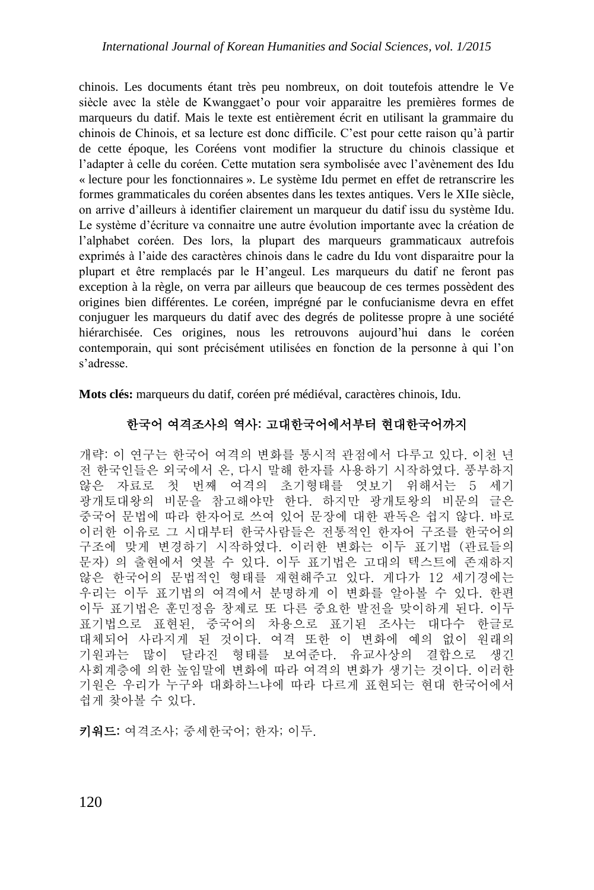chinois. Les documents étant très peu nombreux, on doit toutefois attendre le Ve siècle avec la stèle de Kwanggaet'o pour voir apparaitre les premières formes de marqueurs du datif. Mais le texte est entièrement écrit en utilisant la grammaire du chinois de Chinois, et sa lecture est donc difficile. C'est pour cette raison qu'à partir de cette époque, les Coréens vont modifier la structure du chinois classique et l'adapter à celle du coréen. Cette mutation sera symbolisée avec l'avènement des Idu « lecture pour les fonctionnaires ». Le système Idu permet en effet de retranscrire les formes grammaticales du coréen absentes dans les textes antiques. Vers le XIIe siècle, on arrive d'ailleurs à identifier clairement un marqueur du datif issu du système Idu. Le système d'écriture va connaitre une autre évolution importante avec la création de l'alphabet coréen. Des lors, la plupart des marqueurs grammaticaux autrefois exprimés à l'aide des caractères chinois dans le cadre du Idu vont disparaitre pour la plupart et être remplacés par le H'angeul. Les marqueurs du datif ne feront pas exception à la règle, on verra par ailleurs que beaucoup de ces termes possèdent des origines bien différentes. Le coréen, imprégné par le confucianisme devra en effet conjuguer les marqueurs du datif avec des degrés de politesse propre à une société hiérarchisée. Ces origines, nous les retrouvons aujourd'hui dans le coréen contemporain, qui sont précisément utilisées en fonction de la personne à qui l'on s'adresse.

**Mots clés:** marqueurs du datif, coréen pré médiéval, caractères chinois, Idu.

#### 한국어 여격조사의 역사: 고대한국어에서부터 현대한국어까지

개략: 이 연구는 한국어 여격의 변화를 통시적 관점에서 다루고 있다. 이천 년 전 한국인들은 외국에서 온, 다시 말해 한자를 사용하기 시작하였다. 풍부하지 않은 자료로 첫 번째 여격의 초기형태를 엿보기 위해서는 5 세기 광개토대왕의 비문을 참고해야만 한다. 하지만 광개토왕의 비문의 글은 중국어 문법에 따라 한자어로 쓰여 있어 문장에 대한 판독은 쉽지 않다. 바로 이러한 이유로 그 시대부터 한국사람들은 전통적인 한자어 구조를 한국어의 구조에 맞게 변경하기 시작하였다. 이러한 변화는 이두 표기법 (관료들의 문자) 의 출현에서 엿볼 수 있다. 이두 표기법은 고대의 텍스트에 존재하지 않은 한국어의 문법적인 형태를 재현해주고 있다. 게다가 12 세기경에는 우리는 이두 표기법의 여격에서 분명하게 이 변화를 알아볼 수 있다. 한편 이두 표기법은 훈민정음 창제로 또 다른 중요한 발전을 맞이하게 된다. 이두 표기법으로 표현된, 중국어의 차용으로 표기된 조사는 대다수 한글로 대체되어 사라지게 된 것이다. 여격 또한 이 변화에 예의 없이 원래의 기원과는 많이 달라진 형태를 보여준다. 유교사상의 결합으로 생긴 사회계층에 의한 높임말에 변화에 따라 여격의 변화가 생기는 것이다. 이러한 기원은 우리가 누구와 대화하느냐에 따라 다르게 표현되는 현대 한국어에서 쉽게 찾아볼 수 있다.

[키워](http://krdic.naver.com/detail.nhn?docid=38981900)드: 여격조사; 중세한국어; 한자; 이두.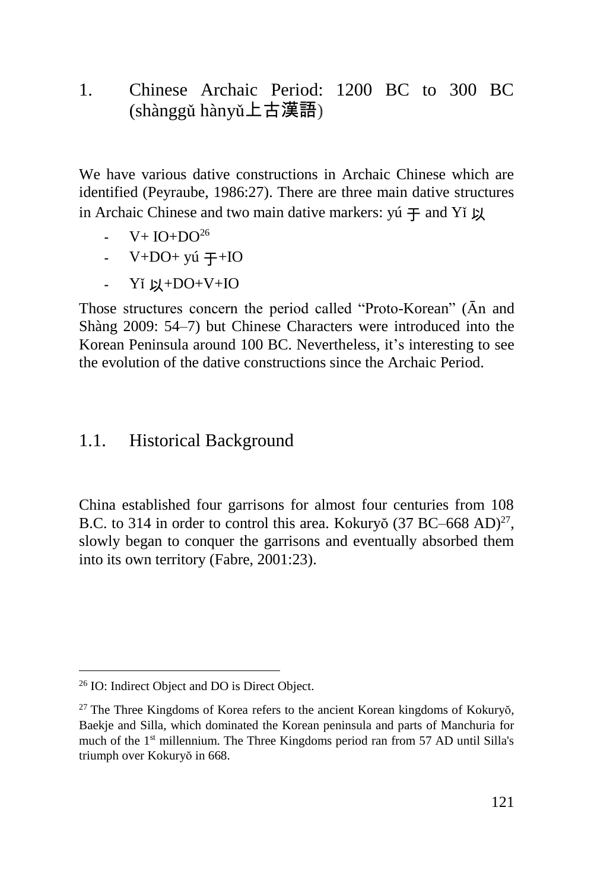1. Chinese Archaic Period: 1200 BC to 300 BC (shànggǔ hànyǔ上古漢語)

We have various dative constructions in Archaic Chinese which are identified (Peyraube, 1986:27). There are three main dative structures in Archaic Chinese and two main dative markers:  $y$ ú  $\pm$  and Yí  $\mu$ 

- $-V+ IO+DO<sup>26</sup>$
- $V+DO+ y$ ú  $\mp + IO$
- $-Yi \quad \text{L1+DO+V+IO}$

Those structures concern the period called "Proto-Korean" (Ān and Shàng 2009: 54–7) but Chinese Characters were introduced into the Korean Peninsula around 100 BC. Nevertheless, it's interesting to see the evolution of the dative constructions since the Archaic Period.

#### 1.1. Historical Background

China established four garrisons for almost four centuries from 108 B.C. to 314 in order to control this area. Kokuryŏ (37 BC–668 AD)<sup>27</sup>, slowly began to conquer the garrisons and eventually absorbed them into its own territory (Fabre, 2001:23).

<sup>26</sup> IO: Indirect Object and DO is Direct Object.

<sup>&</sup>lt;sup>27</sup> The Three Kingdoms of Korea refers to the ancient Korean kingdoms of Kokuryŏ, Baekje and Silla, which dominated the Korean peninsula and parts of Manchuria for much of the 1st millennium. The Three Kingdoms period ran from 57 AD until Silla's triumph over Kokuryŏ in 668.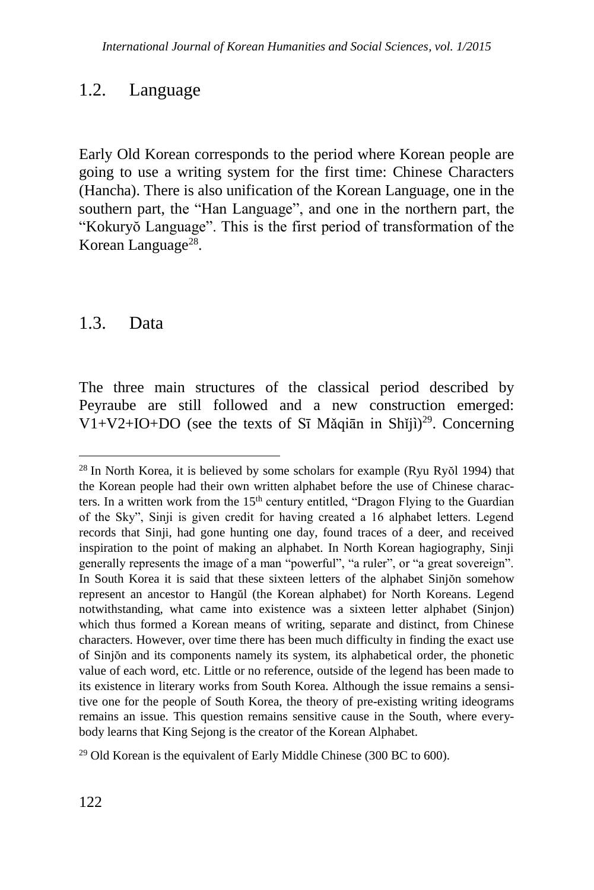### 1.2. Language

Early Old Korean corresponds to the period where Korean people are going to use a writing system for the first time: Chinese Characters (Hancha). There is also unification of the Korean Language, one in the southern part, the "Han Language", and one in the northern part, the "Kokuryŏ Language". This is the first period of transformation of the Korean Language<sup>28</sup>.

### 1.3. Data

1

The three main structures of the classical period described by Peyraube are still followed and a new construction emerged: V1+V2+IO+DO (see the texts of Sī Mǎqiān in Shǐjì) <sup>29</sup>. Concerning

 $28$  In North Korea, it is believed by some scholars for example (Ryu Ryŏl 1994) that the Korean people had their own written alphabet before the use of Chinese characters. In a written work from the  $15<sup>th</sup>$  century entitled, "Dragon Flying to the Guardian of the Sky", Sinji is given credit for having created a 16 alphabet letters. Legend records that Sinji, had gone hunting one day, found traces of a deer, and received inspiration to the point of making an alphabet. In North Korean hagiography, Sinji generally represents the image of a man "powerful", "a ruler", or "a great sovereign". In South Korea it is said that these sixteen letters of the alphabet Sinjŏn somehow represent an ancestor to Hangŭl (the Korean alphabet) for North Koreans. Legend notwithstanding, what came into existence was a sixteen letter alphabet (Sinjon) which thus formed a Korean means of writing, separate and distinct, from Chinese characters. However, over time there has been much difficulty in finding the exact use of Sinjŏn and its components namely its system, its alphabetical order, the phonetic value of each word, etc. Little or no reference, outside of the legend has been made to its existence in literary works from South Korea. Although the issue remains a sensitive one for the people of South Korea, the theory of pre-existing writing ideograms remains an issue. This question remains sensitive cause in the South, where everybody learns that King Sejong is the creator of the Korean Alphabet.

<sup>&</sup>lt;sup>29</sup> Old Korean is the equivalent of Early Middle Chinese (300 BC to 600).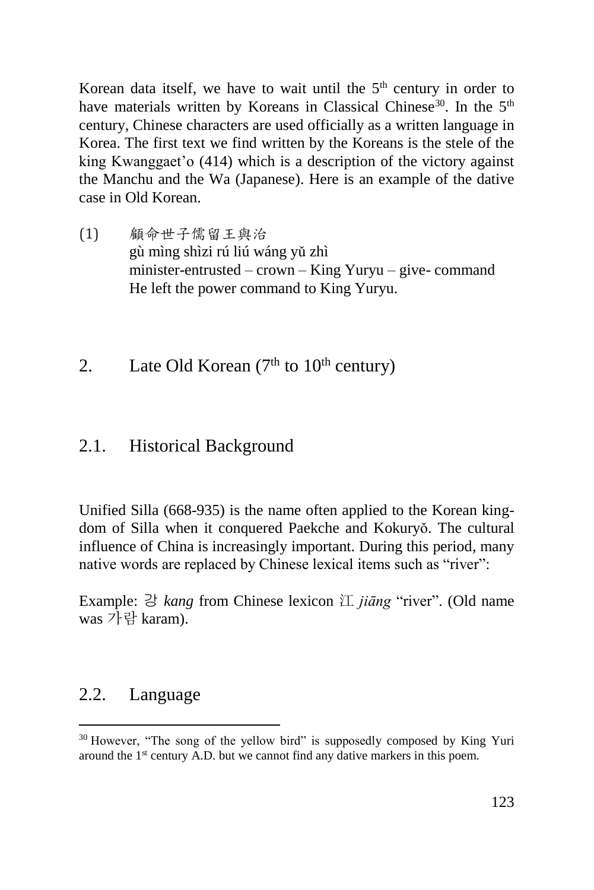Korean data itself, we have to wait until the  $5<sup>th</sup>$  century in order to have materials written by Koreans in Classical Chinese<sup>30</sup>. In the  $5<sup>th</sup>$ century, Chinese characters are used officially as a written language in Korea. The first text we find written by the Koreans is the stele of the king Kwanggaet'o (414) which is a description of the victory against the Manchu and the Wa (Japanese). Here is an example of the dative case in Old Korean.

- (1) 顧命世子儒留王與治 gù mìng shìzi rú liú wáng yǔ zhì [minister](javascript:endicAutoLink()[-entrusted](javascript:endicAutoLink() – crown – King Yuryu – give- command He left the power command to King Yuryu.
- 2. Late Old Korean  $(7<sup>th</sup>$  to  $10<sup>th</sup>$  century)

#### 2.1. Historical Background

Unified Silla (668-935) is the name often applied to the Korean kingdom of Silla when it conquered Paekche and Kokuryŏ. The cultural influence of China is increasingly important. During this period, many native words are replaced by Chinese lexical items such as "river":

Example: 강 *kang* from Chinese lexicon 江 *jiāng* "river". (Old name was 가람 karam).

#### 2.2. Language

<sup>&</sup>lt;sup>30</sup> However, "The song of the yellow bird" is supposedly composed by King Yuri around the 1<sup>st</sup> century A.D. but we cannot find any dative markers in this poem.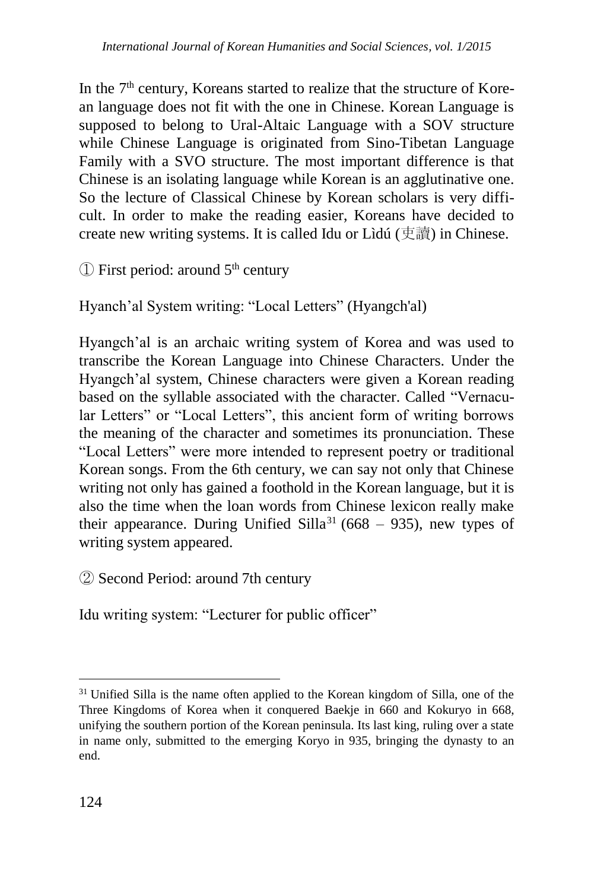In the  $7<sup>th</sup>$  century, Koreans started to realize that the structure of Korean language does not fit with the one in Chinese. Korean Language is supposed to belong to Ural-Altaic Language with a SOV structure while Chinese Language is originated from Sino-Tibetan Language Family with a SVO structure. The most important difference is that Chinese is an isolating language while Korean is an agglutinative one. So the lecture of Classical Chinese by Korean scholars is very difficult. In order to make the reading easier, Koreans have decided to create new writing systems. It is called Idu or Lìdú (吏讀) in Chinese.

 $\circled{1}$  First period: around 5<sup>th</sup> century

Hyanch'al System writing: "Local Letters" (Hyangch'al)

Hyangch'al is an archaic writing system of Korea and was used to transcribe the Korean Language into Chinese Characters. Under the Hyangch'al system, Chinese characters were given a Korean reading based on the syllable associated with the character. Called "Vernacular Letters" or "Local Letters", this ancient form of writing borrows the meaning of the character and sometimes its pronunciation. These "Local Letters" were more intended to represent poetry or traditional Korean songs. From the 6th century, we can say not only that Chinese writing not only has gained a foothold in the Korean language, but it is also the time when the loan words from Chinese lexicon really make their appearance. During Unified Silla<sup>31</sup> (668 – 935), new types of writing system appeared.

② Second Period: around 7th century

Idu writing system: "Lecturer for public officer"

<sup>&</sup>lt;sup>31</sup> Unified Silla is the name often applied to the Korean kingdom of Silla, one of the Three Kingdoms of Korea when it conquered Baekje in 660 and Kokuryo in 668, unifying the southern portion of the Korean peninsula. Its last king, ruling over a state in name only, submitted to the emerging Koryo in 935, bringing the dynasty to an end.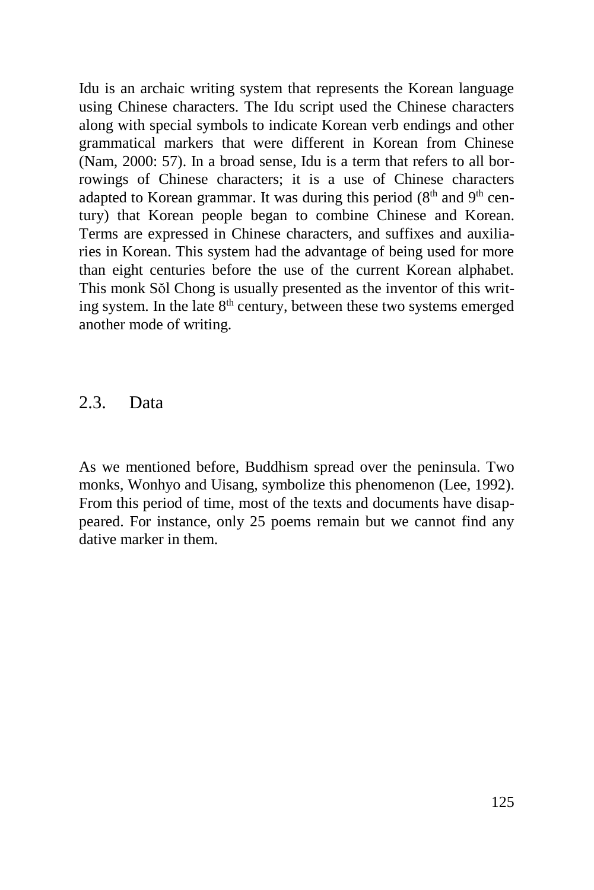Idu is an archaic writing system that represents the Korean language using Chinese characters. The Idu script used the Chinese characters along with special symbols to indicate Korean verb endings and other grammatical markers that were different in Korean from Chinese (Nam, 2000: 57). In a broad sense, Idu is a term that refers to all borrowings of Chinese characters; it is a use of Chinese characters adapted to Korean grammar. It was during this period (8<sup>th</sup> and 9<sup>th</sup> century) that Korean people began to combine Chinese and Korean. Terms are expressed in Chinese characters, and suffixes and auxiliaries in Korean. This system had the advantage of being used for more than eight centuries before the use of the current Korean alphabet. This monk Sŏl Chong is usually presented as the inventor of this writing system. In the late 8th century, between these two systems emerged another mode of writing.

#### 2.3. Data

As we mentioned before, Buddhism spread over the peninsula. Two monks, Wonhyo and Uisang, symbolize this phenomenon (Lee, 1992). From this period of time, most of the texts and documents have disappeared. For instance, only 25 poems remain but we cannot find any dative marker in them.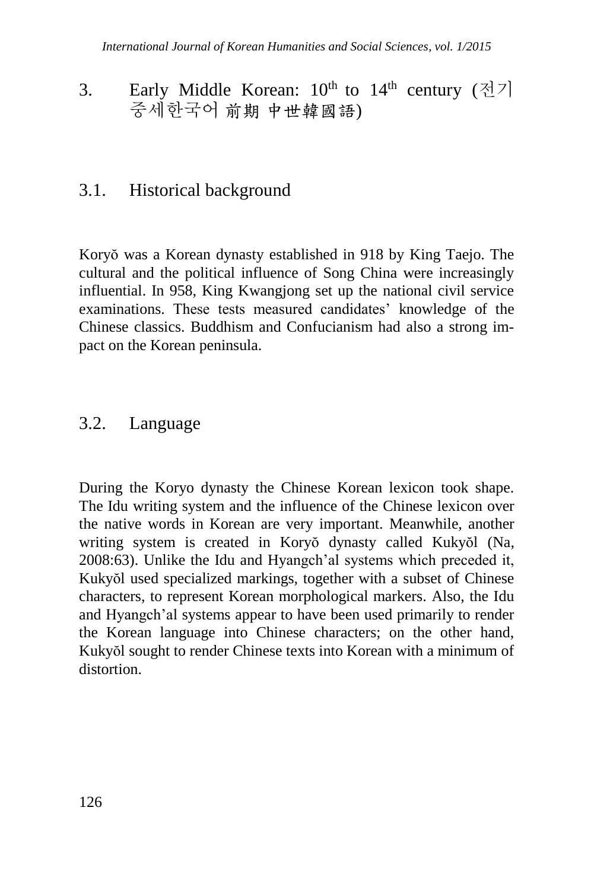## 3. Early Middle Korean:  $10^{th}$  to  $14^{th}$  century  $(3/7)$ 중세한국어 前期 中世韓國語)

## 3.1. Historical background

Koryŏ was a Korean dynasty established in 918 by King Taejo. The cultural and the political influence of Song China were increasingly influential. In 958, King Kwangjong set up the national civil service examinations. These tests measured candidates' knowledge of the Chinese classics. Buddhism and Confucianism had also a strong impact on the Korean peninsula.

### 3.2. Language

During the Koryo dynasty the Chinese Korean lexicon took shape. The Idu writing system and the influence of the Chinese lexicon over the native words in Korean are very important. Meanwhile, another writing system is created in Koryŏ dynasty called Kukyŏl (Na, 2008:63). Unlike the Idu and Hyangch'al systems which preceded it, Kukyŏl used specialized markings, together with a subset of Chinese characters, to represent Korean morphological markers. Also, the Idu and Hyangch'al systems appear to have been used primarily to render the Korean language into Chinese characters; on the other hand, Kukyŏl sought to render Chinese texts into Korean with a minimum of distortion.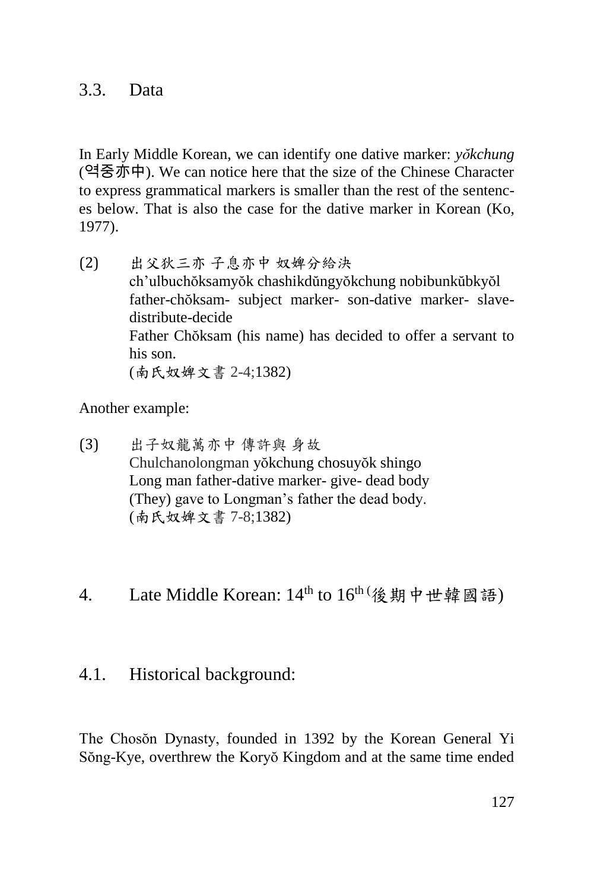#### 3.3. Data

In Early Middle Korean, we can identify one dative marker: *yŏkchung* (역중亦中). We can notice here that the size of the Chinese Character to express grammatical markers is smaller than the rest of the sentences below. That is also the case for the dative marker in Korean (Ko, 1977).

(2) 出父狄三亦 子息亦中 奴婢分給決 ch'ulbuchŏksamyŏk chashikdŭngyŏkchung nobibunkŭbkyŏl father-chŏksam- subject marker- son-dative marker- slavedistribute-decide Father Chŏksam (his name) has decided to offer a servant to his son. (南氏奴婢文書 2-4;1382)

Another example:

- (3) 出子奴龍萬亦中 傳許與 身故 Chulchanolongman yŏkchung chosuyŏk shingo Long man father-dative marker- give- dead body (They) gave to Longman's father the dead body. (南氏奴婢文書 7-8;1382)
- 4. Late Middle Korean: 14<sup>th</sup> to 16<sup>th (</sup>後期中世韓國語)

#### 4.1. Historical background:

The Chosŏn Dynasty, founded in 1392 by the Korean General Yi Sŏng-Kye, overthrew the Koryŏ Kingdom and at the same time ended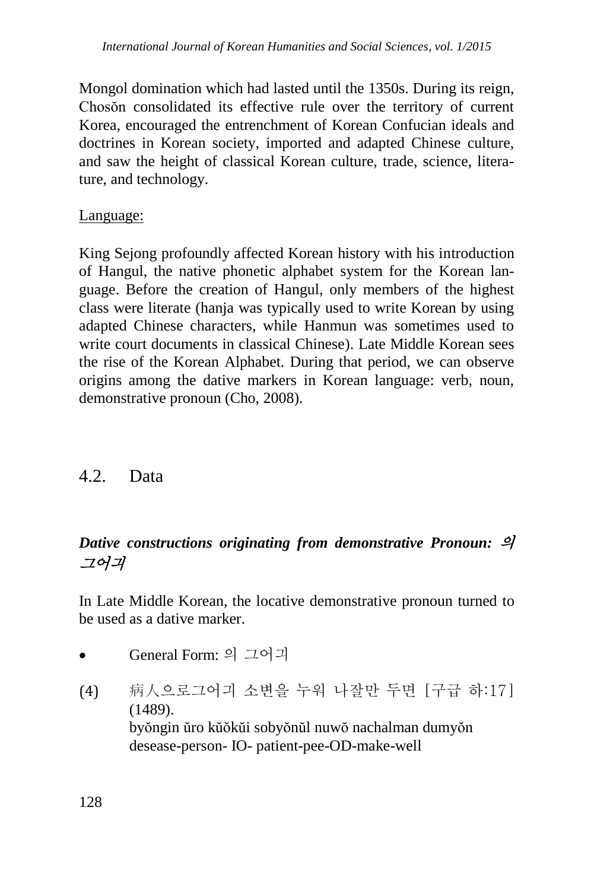Mongol domination which had lasted until the 1350s. During its reign, Chosŏn consolidated its effective rule over the territory of current Korea, encouraged the entrenchment of Korean Confucian ideals and doctrines in Korean society, imported and adapted Chinese culture, and saw the height of classical Korean culture, trade, science, literature, and technology.

#### Language:

King Sejong profoundly affected Korean history with his introduction of [Hangul,](http://en.wikipedia.org/wiki/Hangul) the native phonetic alphabet system for the [Korean lan](http://en.wikipedia.org/wiki/Korean_language)[guage.](http://en.wikipedia.org/wiki/Korean_language) Before the creation of Hangul, only members of the highest class were literate (hanja was typically used to write Korean by using adapted Chinese characters, while Hanmun was sometimes used to write court documents in classical Chinese). Late Middle Korean sees the rise of the Korean Alphabet. During that period, we can observe origins among the dative markers in Korean language: verb, noun, demonstrative pronoun (Cho, 2008).

#### 4.2. Data

### *Dative constructions originating from demonstrative Pronoun:* 의 그어긔

In Late Middle Korean, the locative demonstrative pronoun turned to be used as a dative marker.

- General Form: 의 그어긔
- (4) 病人으로그어긔 소변을 누워 나잘만 두면 [구급 하:17] (1489). byŏngin ŭro kŭŏkŭi sobyŏnŭl nuwŏ nachalman dumyŏn desease-person- IO- patient-pee-OD-make-well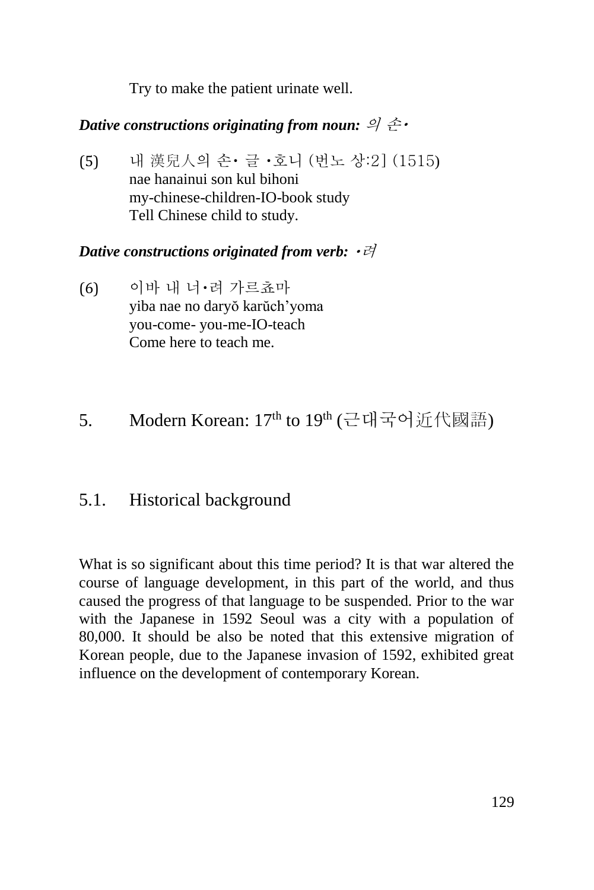Try to make the patient urinate well.

#### *Dative constructions originating from noun: 의 손*

(5) 내 漢兒人의 손 글 호니 (번노 상:2] (1515) nae hanainui son kul bihoni my-chinese-children-IO-book study Tell Chinese child to study.

#### *Dative constructions originated from verb: ・라*

- (6) 이바 내 너 려 가르쵸마 yiba nae no daryŏ karŭch'yoma you-come- you-me-IO-teach Come here to teach me.
- 5. Modern Korean: 17<sup>th</sup> to 19<sup>th</sup> (근대국어近代國語)

### 5.1. Historical background

What is so significant about this time period? It is that war altered the course of language development, in this part of the world, and thus caused the progress of that language to be suspended. Prior to the war with the Japanese in 1592 Seoul was a city with a population of 80,000. It should be also be noted that this extensive migration of Korean people, due to the Japanese invasion of 1592, exhibited great influence on the development of contemporary Korean.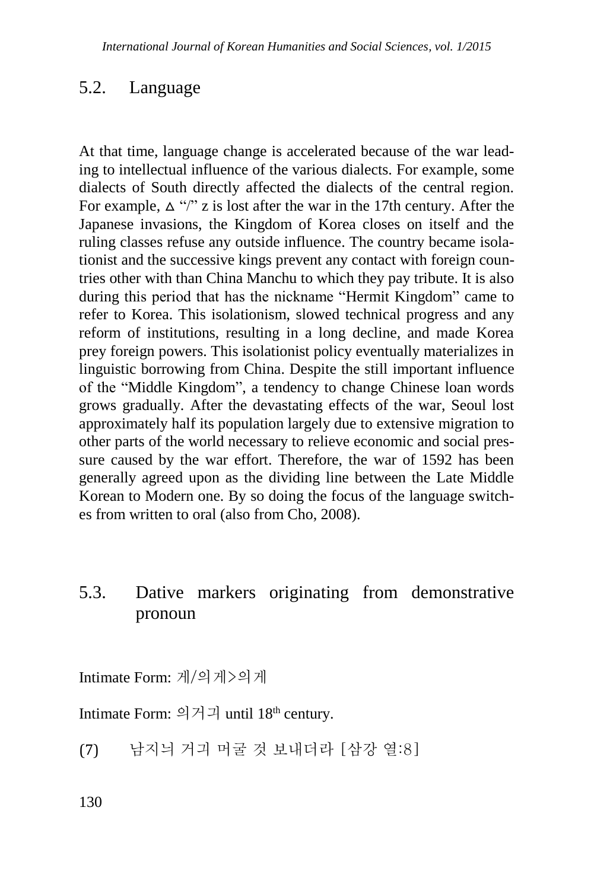### 5.2. Language

At that time, language change is accelerated because of the war leading to intellectual influence of the various dialects. For example, some dialects of South directly affected the dialects of the central region. For example,  $\Delta$  "/" z is lost after the war in the 17th century. After the Japanese invasions, the Kingdom of Korea closes on itself and the ruling classes refuse any outside influence. The country became isolationist and the successive kings prevent any contact with foreign countries other with than China Manchu to which they pay tribute. It is also during this period that has the nickname "Hermit Kingdom" came to refer to Korea. This isolationism, slowed technical progress and any reform of institutions, resulting in a long decline, and made Korea prey foreign powers. This isolationist policy eventually materializes in linguistic borrowing from China. Despite the still important influence of the "Middle Kingdom", a tendency to change Chinese loan words grows gradually. After the devastating effects of the war, Seoul lost approximately half its population largely due to extensive migration to other parts of the world necessary to relieve economic and social pressure caused by the war effort. Therefore, the war of 1592 has been generally agreed upon as the dividing line between the Late Middle Korean to Modern one. By so doing the focus of the language switches from written to oral (also from Cho, 2008).

### 5.3. Dative markers originating from demonstrative pronoun

Intimate Form: 게/의게>의게

Intimate Form: 의거긔 until  $18<sup>th</sup>$  century.

(7) 남지늬 거긔 머굴 것 보내더라 [삼강 열:8]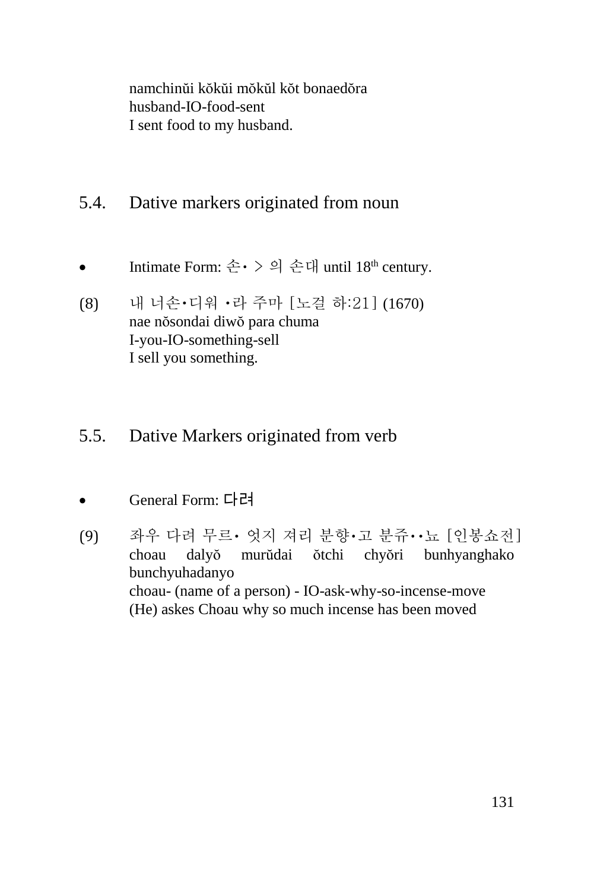namchinŭi kŏkŭi mŏkŭl kŏt bonaedŏra husband-IO-food-sent I sent food to my husband.

- 5.4. Dative markers originated from noun
- Intimate Form: 손 > 의 손대 until  $18<sup>th</sup>$  century.
- (8) 내 너손 디워 라 주마 [노걸 하:21] (1670) nae nŏsondai diwŏ para chuma I-you-IO-something-sell I sell you something.
- 5.5. Dative Markers originated from verb
- General Form: 다려
- [9] 좌우 다려 무르 · 엇지 져리 분향 · 고 분쥬 · · 뇨 [인봉쇼전] choau dalyŏ murŭdai ŏtchi chyŏri bunhyanghako bunchyuhadanyo choau- (name of a person) - IO-ask-why-so-incense-move (He) askes Choau why so much incense has been moved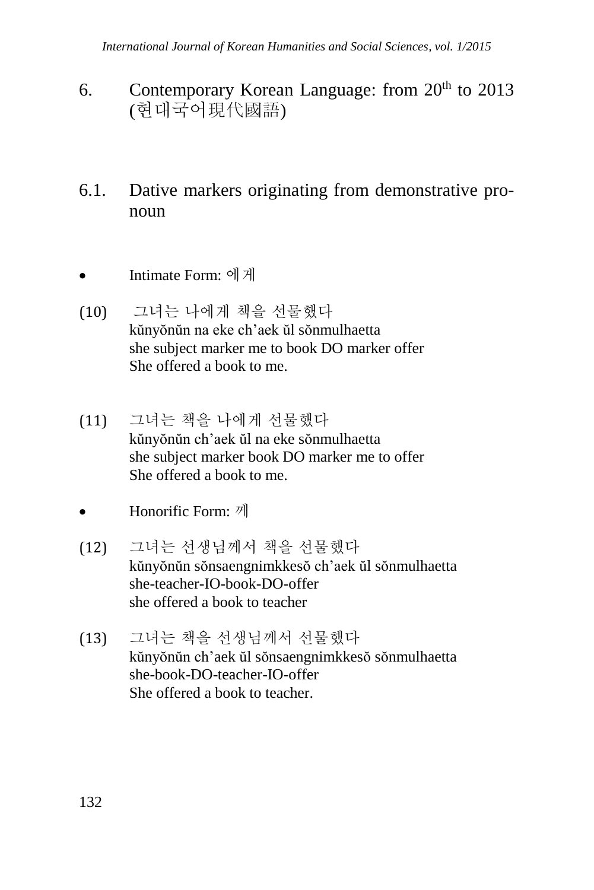- 6. Contemporary Korean Language: from  $20<sup>th</sup>$  to  $2013$ (현대국어現代國語)
- 6.1. Dative markers originating from demonstrative pronoun
- Intimate Form: 에게
- (10) 그녀는 나에게 책을 선물했다 kŭnyŏnŭn na eke ch'aek ŭl sŏnmulhaetta she subject marker me to book DO marker offer She offered a book to me.
- (11) 그녀는 책을 나에게 선물했다 kŭnyŏnŭn ch'aek ŭl na eke sŏnmulhaetta she subject marker book DO marker me to offer She offered a book to me.
- Honorific Form: 께
- (12) 그녀는 선생님께서 책을 선물했다 kŭnyŏnŭn sŏnsaengnimkkesŏ ch'aek ŭl sŏnmulhaetta she-teacher-IO-book-DO-offer she offered a book to teacher
- (13) 그녀는 책을 선생님께서 선물했다 kŭnyŏnŭn ch'aek ŭl sŏnsaengnimkkesŏ sŏnmulhaetta she-book-DO-teacher-IO-offer She offered a book to teacher.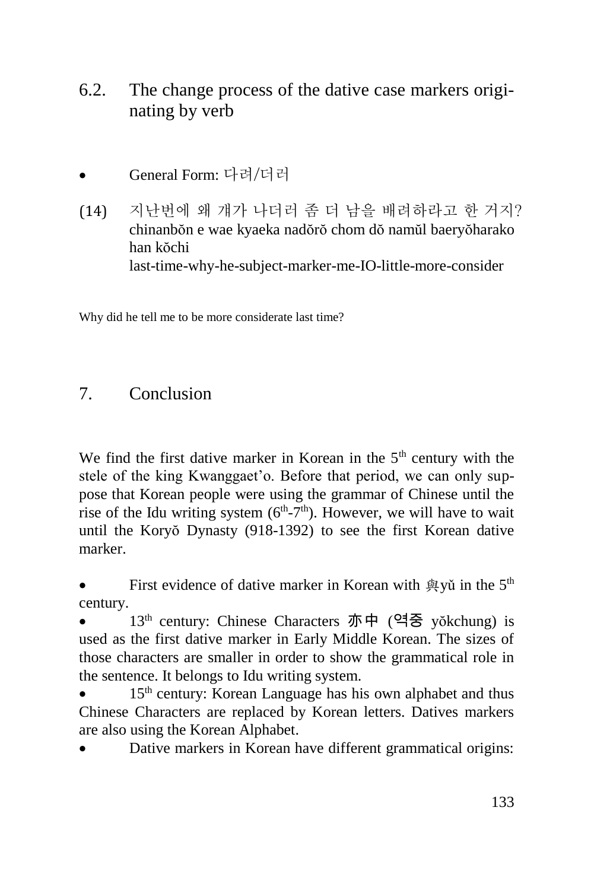- 6.2. The change process of the dative case markers originating by verb
- General Form: 다려/더러
- (14) 지난번에 왜 걔가 나더러 좀 더 남을 배려하라고 한 거지? chinanbŏn e wae kyaeka nadŏrŏ chom dŏ namŭl baeryŏharako han kŏchi last-time-why-he-subject-marker-me-IO-little-more-consider

Why did he tell me to be more considerate last time?

### 7. Conclusion

We find the first dative marker in Korean in the  $5<sup>th</sup>$  century with the stele of the king Kwanggaet'o. Before that period, we can only suppose that Korean people were using the grammar of Chinese until the rise of the Idu writing system  $(6<sup>th</sup>-7<sup>th</sup>)$ . However, we will have to wait until the Koryŏ Dynasty (918-1392) to see the first Korean dative marker.

First evidence of dative marker in Korean with  $\mathfrak{B}$  vu in the 5<sup>th</sup> century.

 13th century: Chinese Characters 亦中 (역중 yŏkchung) is used as the first dative marker in Early Middle Korean. The sizes of those characters are smaller in order to show the grammatical role in the sentence. It belongs to Idu writing system.

15<sup>th</sup> century: Korean Language has his own alphabet and thus Chinese Characters are replaced by Korean letters. Datives markers are also using the Korean Alphabet.

Dative markers in Korean have different grammatical origins: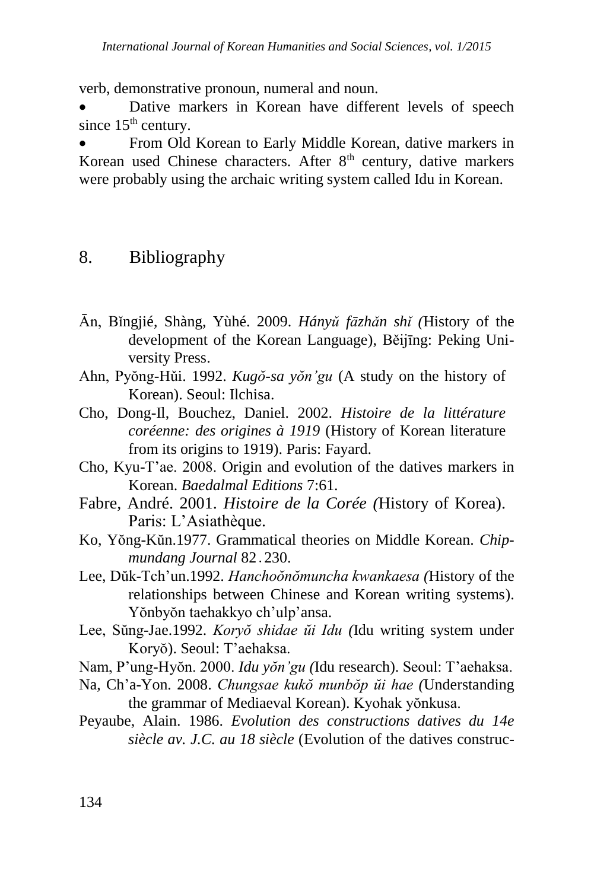verb, demonstrative pronoun, numeral and noun.

 Dative markers in Korean have different levels of speech since  $15<sup>th</sup>$  century.

 From Old Korean to Early Middle Korean, dative markers in Korean used Chinese characters. After  $8<sup>th</sup>$  century, dative markers were probably using the archaic writing system called Idu in Korean.

### 8. Bibliography

- Ān, Bǐngjié, Shàng, Yùhé. 2009. *Hányǔ fāzhǎn shǐ (*History of the development of the Korean Language), Běijīng: Peking University Press.
- Ahn, Pyŏng-Hǔi. 1992. *Kugŏ-sa yŏn'gu* (A study on the history of Korean). Seoul: Ilchisa.
- Cho, Dong-Il, Bouchez, Daniel. 2002. *Histoire de la littérature coréenne: des origines à 1919* (History of Korean literature from its origins to 1919). Paris: Fayard.
- Cho, Kyu-T'ae. 2008. Origin and evolution of the datives markers in Korean. *Baedalmal Editions* 7:61.
- Fabre, André. 2001. *Histoire de la Corée (*History of Korea). Paris: L'Asiathèque.
- Ko, Yŏng-Kŭn.1977. Grammatical theories on Middle Korean. *Chipmundang Journal* 82․230.
- Lee, Dŭk-Tch'un.1992. *Hanchoŏnŏmuncha kwankaesa (*History of the relationships between Chinese and Korean writing systems). Yŏnbyŏn taehakkyo ch'ulp'ansa.
- Lee, Sŭng-Jae.1992. *Koryŏ shidae ŭi Idu (*Idu writing system under Koryŏ). Seoul: T'aehaksa.
- Nam, P'ung-Hyŏn. 2000. *Idu yŏn'gu (*Idu research). Seoul: T'aehaksa.
- Na, Ch'a-Yon. 2008. *Chungsae kukŏ munbŏp ŭi hae (*Understanding the grammar of Mediaeval Korean). Kyohak yŏnkusa.
- Peyaube, Alain. 1986. *Evolution des constructions datives du 14e siècle av. J.C. au 18 siècle* (Evolution of the datives construc-